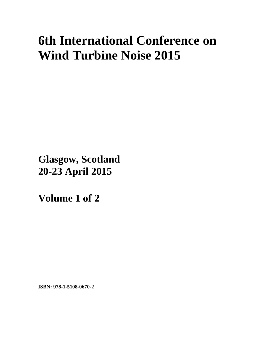# **6th International Conference on Wind Turbine Noise 2015**

**Glasgow, Scotland 20-23 April 2015**

**Volume 1 of 2** 

**ISBN: 978-1-5108-0670-2**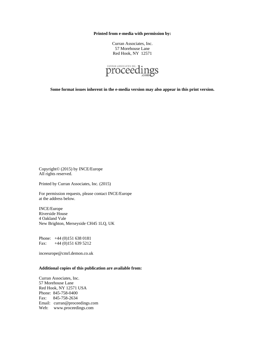**Printed from e-media with permission by:** 

Curran Associates, Inc. 57 Morehouse Lane Red Hook, NY 12571



**Some format issues inherent in the e-media version may also appear in this print version.** 

Copyright© (2015) by INCE/Europe All rights reserved.

Printed by Curran Associates, Inc. (2015)

For permission requests, please contact INCE/Europe at the address below.

INCE/Europe Riverside House 4 Oakland Vale New Brighton, Merseyside CH45 1LQ, UK

Phone: +44 (0)151 638 0181 Fax: +44 (0)151 639 5212

inceeurope@cmrl.demon.co.uk

#### **Additional copies of this publication are available from:**

Curran Associates, Inc. 57 Morehouse Lane Red Hook, NY 12571 USA Phone: 845-758-0400 Fax: 845-758-2634 Email: curran@proceedings.com Web: www.proceedings.com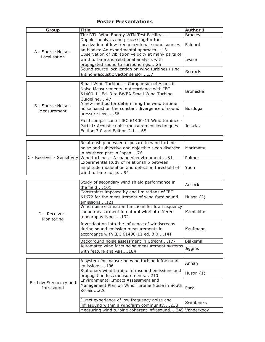# **Poster Presentations**

| Group              | Title                                              | <b>Author 1</b> |
|--------------------|----------------------------------------------------|-----------------|
|                    | The DTU Wind Energy WTN Test Facility1             | Bradley         |
|                    | Doppler analysis and processing for the            |                 |
|                    | localization of low frequency tonal sound sources  | Falourd         |
| A - Source Noise - | on blades: An experimental approach13              |                 |
| Localisation       | Observation of vibration velocity at many parts of |                 |
|                    | wind turbine and relational analysis with          | Iwase           |
|                    | propagated sound to surroundings25                 |                 |
|                    | Sound source localization on wind turbines using   | Serraris        |
|                    | a single acoustic vector sensor37                  |                 |

|                                   | Small Wind Turbines - Comparison of Acoustic<br>Noise Measurements in Accordance with IEC<br>61400-11 Ed. 3 to BWEA Small Wind Turbine<br>Guideline47 | <b>Broneske</b> |
|-----------------------------------|-------------------------------------------------------------------------------------------------------------------------------------------------------|-----------------|
| B - Source Noise -<br>Measurement | A new method for determining the wind turbine<br>noise based on the constant divergence of sound<br>pressure level56                                  | Buzduga         |
|                                   | Field comparison of IEC 61400-11 Wind turbines -<br>Part11: Acoustic noise measurement techniques:<br>Edition 3.0 and Edition 2.165                   | Joswiak         |

|  | Relationship between exposure to wind turbine<br>noise and subjective and objective sleep disorder<br>in southern part in Japan76 | <b>Morimatsu</b> |
|--|-----------------------------------------------------------------------------------------------------------------------------------|------------------|
|  | C - Receiver - Sensitivity Wind turbines - A changed environment81                                                                | <b>Palmer</b>    |
|  | Experimental study of relationship between                                                                                        |                  |
|  | amplitude modulation and detection threshold of                                                                                   | Yoon             |
|  | wind turbine noise94                                                                                                              |                  |

|                                | Study of secondary wind shield performance in<br>the field101                                                                       | Adcock           |
|--------------------------------|-------------------------------------------------------------------------------------------------------------------------------------|------------------|
|                                | Constraints imposed by and limitations of IEC<br>61672 for the measurement of wind farm sound<br>emissions121                       | Huson (2)        |
| $D -$ Receiver -<br>Monitoring | Wind noise estimation functions for low frequency<br>sound measurment in natural wind at different<br>topography types132           | <i>Kamiakito</i> |
|                                | Investigation into the influence of windscreens<br>during sound emission measurements in<br>accordance with IEC 61400-11 ed. 3.0141 | Kaufmann         |
|                                | Background noise assessment in Utrecht177                                                                                           | Balkema          |
|                                | Automated wind farm noise measurement systems<br>with feature analysis184                                                           | Jiggins          |

|                                     | A system for measuring wind turbine infrasound<br>emissions196                                    | <b>Annan</b>     |
|-------------------------------------|---------------------------------------------------------------------------------------------------|------------------|
|                                     | Stationary wind turbine infrasound emissions and<br>propagation loss measurements210              | Huson (1)        |
| E - Low Frequency and<br>Infrasound | Environmental Impact Assessment and<br>Management Plan on Wind Turbine Noise in South<br>Korea226 | Park             |
|                                     | Direct experience of low frequency noise and<br>infrasound within a windfarm community233         | <b>Swinbanks</b> |
|                                     | Measuring wind turbine coherent infrasound245 Vanderkooy                                          |                  |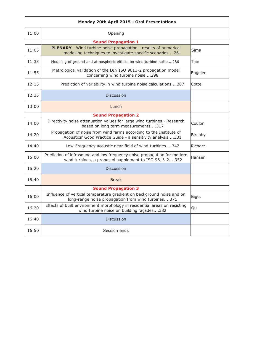| 11:00<br>Opening<br><b>Sound Propagation 1</b><br>PLENARY - Wind turbine noise propagation - results of numerical<br>11:05<br>Sims<br>modelling techniques to investigate specific scenarios261<br>11:35<br>Modeling of ground and atmospheric effects on wind turbine noise286<br>Tian<br>Metrological validation of the DIN ISO 9613-2 propagation model<br>11:55<br>Engelen<br>concerning wind turbine noise298<br>12:15<br>Prediction of variability in wind turbine noise calculations307<br>Cotte<br>12:35<br><b>Discussion</b><br>13:00<br>Lunch<br><b>Sound Propagation 2</b><br>Directivity noise attenuation values for large wind turbines - Research<br>14:00<br>Coulon<br>based on long term measurements317<br>Propagation of noise from wind farms according to the Institute of<br>14:20<br>Birchby<br>Acoustics' Good Practice Guide - a sensitivity analysis331<br>14:40<br>Low-Frequency acoustic near-field of wind-turbines342<br>Richarz<br>Prediction of infrasound and low frequency noise propagation for modern<br>15:00<br>Hansen<br>wind turbines, a proposed supplement to ISO 9613-2352<br>15:20<br><b>Discussion</b><br>15:40<br><b>Break</b><br><b>Sound Propagation 3</b><br>Influence of vertical temperature gradient on background noise and on<br>16:00<br>Bigot<br>long-range noise propagation from wind turbines371<br>Effects of built environment morphology in residential areas on resisting<br>16:20<br>Qu<br>wind turbine noise on building façades382<br>16:40<br><b>Discussion</b><br>16:50<br>Session ends | Monday 20th April 2015 - Oral Presentations |  |  |  |
|-------------------------------------------------------------------------------------------------------------------------------------------------------------------------------------------------------------------------------------------------------------------------------------------------------------------------------------------------------------------------------------------------------------------------------------------------------------------------------------------------------------------------------------------------------------------------------------------------------------------------------------------------------------------------------------------------------------------------------------------------------------------------------------------------------------------------------------------------------------------------------------------------------------------------------------------------------------------------------------------------------------------------------------------------------------------------------------------------------------------------------------------------------------------------------------------------------------------------------------------------------------------------------------------------------------------------------------------------------------------------------------------------------------------------------------------------------------------------------------------------------------------------------------------------------------|---------------------------------------------|--|--|--|
|                                                                                                                                                                                                                                                                                                                                                                                                                                                                                                                                                                                                                                                                                                                                                                                                                                                                                                                                                                                                                                                                                                                                                                                                                                                                                                                                                                                                                                                                                                                                                             |                                             |  |  |  |
|                                                                                                                                                                                                                                                                                                                                                                                                                                                                                                                                                                                                                                                                                                                                                                                                                                                                                                                                                                                                                                                                                                                                                                                                                                                                                                                                                                                                                                                                                                                                                             |                                             |  |  |  |
|                                                                                                                                                                                                                                                                                                                                                                                                                                                                                                                                                                                                                                                                                                                                                                                                                                                                                                                                                                                                                                                                                                                                                                                                                                                                                                                                                                                                                                                                                                                                                             |                                             |  |  |  |
|                                                                                                                                                                                                                                                                                                                                                                                                                                                                                                                                                                                                                                                                                                                                                                                                                                                                                                                                                                                                                                                                                                                                                                                                                                                                                                                                                                                                                                                                                                                                                             |                                             |  |  |  |
|                                                                                                                                                                                                                                                                                                                                                                                                                                                                                                                                                                                                                                                                                                                                                                                                                                                                                                                                                                                                                                                                                                                                                                                                                                                                                                                                                                                                                                                                                                                                                             |                                             |  |  |  |
|                                                                                                                                                                                                                                                                                                                                                                                                                                                                                                                                                                                                                                                                                                                                                                                                                                                                                                                                                                                                                                                                                                                                                                                                                                                                                                                                                                                                                                                                                                                                                             |                                             |  |  |  |
|                                                                                                                                                                                                                                                                                                                                                                                                                                                                                                                                                                                                                                                                                                                                                                                                                                                                                                                                                                                                                                                                                                                                                                                                                                                                                                                                                                                                                                                                                                                                                             |                                             |  |  |  |
|                                                                                                                                                                                                                                                                                                                                                                                                                                                                                                                                                                                                                                                                                                                                                                                                                                                                                                                                                                                                                                                                                                                                                                                                                                                                                                                                                                                                                                                                                                                                                             |                                             |  |  |  |
|                                                                                                                                                                                                                                                                                                                                                                                                                                                                                                                                                                                                                                                                                                                                                                                                                                                                                                                                                                                                                                                                                                                                                                                                                                                                                                                                                                                                                                                                                                                                                             |                                             |  |  |  |
|                                                                                                                                                                                                                                                                                                                                                                                                                                                                                                                                                                                                                                                                                                                                                                                                                                                                                                                                                                                                                                                                                                                                                                                                                                                                                                                                                                                                                                                                                                                                                             |                                             |  |  |  |
|                                                                                                                                                                                                                                                                                                                                                                                                                                                                                                                                                                                                                                                                                                                                                                                                                                                                                                                                                                                                                                                                                                                                                                                                                                                                                                                                                                                                                                                                                                                                                             |                                             |  |  |  |
|                                                                                                                                                                                                                                                                                                                                                                                                                                                                                                                                                                                                                                                                                                                                                                                                                                                                                                                                                                                                                                                                                                                                                                                                                                                                                                                                                                                                                                                                                                                                                             |                                             |  |  |  |
|                                                                                                                                                                                                                                                                                                                                                                                                                                                                                                                                                                                                                                                                                                                                                                                                                                                                                                                                                                                                                                                                                                                                                                                                                                                                                                                                                                                                                                                                                                                                                             |                                             |  |  |  |
|                                                                                                                                                                                                                                                                                                                                                                                                                                                                                                                                                                                                                                                                                                                                                                                                                                                                                                                                                                                                                                                                                                                                                                                                                                                                                                                                                                                                                                                                                                                                                             |                                             |  |  |  |
|                                                                                                                                                                                                                                                                                                                                                                                                                                                                                                                                                                                                                                                                                                                                                                                                                                                                                                                                                                                                                                                                                                                                                                                                                                                                                                                                                                                                                                                                                                                                                             |                                             |  |  |  |
|                                                                                                                                                                                                                                                                                                                                                                                                                                                                                                                                                                                                                                                                                                                                                                                                                                                                                                                                                                                                                                                                                                                                                                                                                                                                                                                                                                                                                                                                                                                                                             |                                             |  |  |  |
|                                                                                                                                                                                                                                                                                                                                                                                                                                                                                                                                                                                                                                                                                                                                                                                                                                                                                                                                                                                                                                                                                                                                                                                                                                                                                                                                                                                                                                                                                                                                                             |                                             |  |  |  |
|                                                                                                                                                                                                                                                                                                                                                                                                                                                                                                                                                                                                                                                                                                                                                                                                                                                                                                                                                                                                                                                                                                                                                                                                                                                                                                                                                                                                                                                                                                                                                             |                                             |  |  |  |
|                                                                                                                                                                                                                                                                                                                                                                                                                                                                                                                                                                                                                                                                                                                                                                                                                                                                                                                                                                                                                                                                                                                                                                                                                                                                                                                                                                                                                                                                                                                                                             |                                             |  |  |  |
|                                                                                                                                                                                                                                                                                                                                                                                                                                                                                                                                                                                                                                                                                                                                                                                                                                                                                                                                                                                                                                                                                                                                                                                                                                                                                                                                                                                                                                                                                                                                                             |                                             |  |  |  |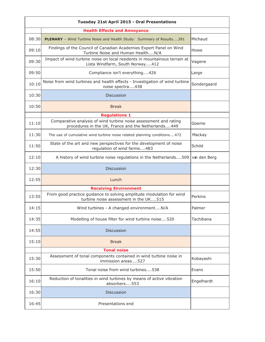|       | Tuesday 21st April 2015 - Oral Presentations                                                                            |              |  |  |
|-------|-------------------------------------------------------------------------------------------------------------------------|--------------|--|--|
|       | <b>Health Effects and Annoyance</b>                                                                                     |              |  |  |
| 08:30 | PLENARY - Wind Turbine Noise and Health Study: Summary of Results391                                                    | Michaud      |  |  |
| 09:10 | Findings of the Council of Canadian Academies Expert Panel on Wind<br>Turbine Noise and Human HealthN/A                 | Howe         |  |  |
| 09:30 | Impact of wind-turbine noise on local residents in mountainous terrain at<br>Lista Windfarm, South Norway412            | Vagene       |  |  |
| 09:50 | Compliance isn't everything426                                                                                          | Large        |  |  |
| 10:10 | Noise from wind turbines and health effects - Investigation of wind turbine<br>noise spectra438                         | Sondergaard  |  |  |
| 10:30 | <b>Discussion</b>                                                                                                       |              |  |  |
| 10:50 | <b>Break</b>                                                                                                            |              |  |  |
|       | <b>Regulations 1</b>                                                                                                    |              |  |  |
| 11:10 | Comparative analysis of wind turbine noise assessment and rating<br>procedures in the UK, France and the Netherlands449 | Goeme        |  |  |
| 11:30 | The use of cumulative wind turbine noise related planning conditions472                                                 | Mackay       |  |  |
| 11:50 | State of the art and new perspectives for the development of noise<br>regulation of wind farms483                       | Schild       |  |  |
| 12:10 | A history of wind turbine noise regulations in the Netherlands509                                                       | van den Berg |  |  |
| 12:30 | <b>Discussion</b>                                                                                                       |              |  |  |
| 12:55 | Lunch                                                                                                                   |              |  |  |
|       | <b>Receiving Environment</b>                                                                                            |              |  |  |
| 13:55 | From good practice guidance to solving amplitude modulation for wind<br>turbine noise assessment in the UK515           | Perkins      |  |  |
| 14:15 | Wind turbines - A changed environmentN/A                                                                                | Palmer       |  |  |
| 14:35 | Modelling of house filter for wind turbine noise520                                                                     | Tachibana    |  |  |
| 14:55 | <b>Discussion</b>                                                                                                       |              |  |  |
| 15:10 | <b>Break</b>                                                                                                            |              |  |  |
|       | <b>Tonal noise</b>                                                                                                      |              |  |  |
| 15:30 | Assessment of tonal components contained in wind turbine noise in<br>immission areas527                                 | Kobayashi    |  |  |
| 15:50 | Tonal noise from wind turbines538                                                                                       | Evans        |  |  |
| 16:10 | Reduction of tonalities in wind turbines by means of active vibration<br>absorbers553                                   | Engelhardt   |  |  |
| 16:30 | <b>Discussion</b>                                                                                                       |              |  |  |
| 16:45 | Presentations end                                                                                                       |              |  |  |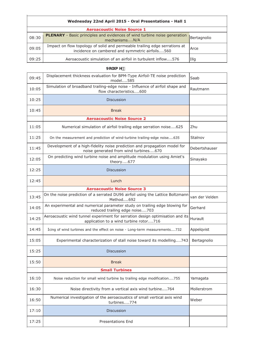# **Wednesday 22nd April 2015 - Oral Presentations - Hall 1**

|       | <b>Aeroacoustic Noise Source 1</b>                                                                                            |             |  |
|-------|-------------------------------------------------------------------------------------------------------------------------------|-------------|--|
| 08:30 | <b>PLENARY</b> - Basic principles and evidences of wind turbine noise generation<br>mechanismsN/A                             | Bertagnolio |  |
| 09:05 | Impact on flow topology of solid and permeable trailing edge serrations at<br>incidence on cambered and symmetric airfoils560 | Arce        |  |
| 09:25 | Aeroacoustic simulation of an airfoil in turbulent inflow576                                                                  | Illg        |  |

|  | $J$ c`i a $Y$ & |  |
|--|-----------------|--|
|  |                 |  |

| 09:45 | Displacement thickness evaluation for BPM-Type Airfoil-TE noise prediction<br>model585                                  | Saab           |
|-------|-------------------------------------------------------------------------------------------------------------------------|----------------|
| 10:05 | Simulation of broadband trailing-edge noise - Influence of airfoil shape and<br>flow characteristics600                 | Rautmann       |
| 10:25 | <b>Discussion</b>                                                                                                       |                |
| 10:45 | <b>Break</b>                                                                                                            |                |
|       | <b>Aeroacoustic Noise Source 2</b>                                                                                      |                |
| 11:05 | Numerical simulation of airfoil trailing edge serration noise625                                                        | Zhu            |
| 11:25 | On the measurement and prediction of wind-turbine trailing-edge noise635                                                | Stalnov        |
| 11:45 | Development of a high-fidelity noise prediction and propagation model for<br>noise generated from wind turbines670      | Debertshauser  |
| 12:05 | On predicting wind turbine noise and amplitude modulation using Amiet's<br>theory677                                    | Sinayako       |
| 12:25 | <b>Discussion</b>                                                                                                       |                |
| 12:45 | Lunch                                                                                                                   |                |
|       | <b>Aeroacoustic Noise Source 3</b>                                                                                      |                |
| 13:45 | On the noise prediction of a serrated DU96 airfoil using the Lattice Boltzmann<br>Method692                             | van der Velden |
| 14:05 | An experimental and numerical parameter study on trailing edge blowing for<br>reduced trailing edge noise703            | Gerhard        |
| 14:25 | Aeroacoustic wind tunnel experiment for serration design optimisation and its<br>application to a wind turbine rotor716 | Hurault        |
| 14:45 | Icing of wind turbines and the effect on noise - Long-term measurements732                                              | Appelqvist     |
| 15:05 | Experimental characterization of stall noise toward its modelling743                                                    | Bertagnolio    |
| 15:25 | <b>Discussion</b>                                                                                                       |                |
| 15:50 | <b>Break</b>                                                                                                            |                |
|       | <b>Small Turbines</b>                                                                                                   |                |
| 16:10 | Noise reduction for small wind turbine by trailing edge modification755                                                 | Yamagata       |
| 16:30 | Noise directivity from a vertical axis wind turbine764                                                                  | Mollerstrom    |
| 16:50 | Numerical investigation of the aeroacoustics of small vertical axis wind<br>turbines774                                 | Weber          |
| 17:10 | <b>Discussion</b>                                                                                                       |                |
| 17:25 | <b>Presentations End</b>                                                                                                |                |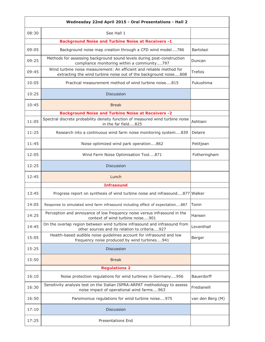|       | Wednesday 22nd April 2015 - Oral Presentations - Hall 2                                                                                  |                   |
|-------|------------------------------------------------------------------------------------------------------------------------------------------|-------------------|
| 08:30 | See Hall 1                                                                                                                               |                   |
|       | <b>Background Noise and Turbine Noise at Receivers -1</b>                                                                                |                   |
| 09:05 | Background noise map creation through a CFD wind model786                                                                                | Bartolazi         |
| 09:25 | Methods for assessing background sound levels during post-construction<br>compliance monitoring within a community797                    | Duncan            |
| 09:45 | Wind turbine noise measurement: An efficient and reliable method for<br>extracting the wind turbine noise out of the background noise808 | Trefois           |
| 10:05 | Practical measurement method of wind turbine noise815                                                                                    | Fukushima         |
| 10:25 | <b>Discussion</b>                                                                                                                        |                   |
| 10:45 | <b>Break</b>                                                                                                                             |                   |
|       | <b>Background Noise and Turbine Noise at Receivers -2</b>                                                                                |                   |
| 11:05 | Spectral discrete probability density function of measured wind turbine noise<br>in the far field825                                     | Ashtiani          |
| 11:25 | Research into a continuous wind farm noise monitoring system839                                                                          | Delaire           |
| 11:45 | Noise optimized wind park operation862                                                                                                   | Petitjean         |
| 12:05 | Wind Farm Noise Optimisation Tool871                                                                                                     | Fotheringham      |
| 12:25 | <b>Discussion</b>                                                                                                                        |                   |
| 12:45 | Lunch                                                                                                                                    |                   |
|       | <b>Infrasound</b>                                                                                                                        |                   |
| 13:45 | Progress report on synthesis of wind turbine noise and infrasound877 Walker                                                              |                   |
| 14:05 | Response to simulated wind farm infrasound including effect of expectation887                                                            | Tonin             |
| 14:25 | Perception and annoyance of low frequency noise versus infrasound in the<br>context of wind turbine noise901                             | Hansen            |
| 14:45 | On the overlap region between wind turbine infrasound and infrasound from<br>other sources and its relation to criteria927               | Leventhall        |
| 15:05 | Health-based audible noise guidelines account for infrasound and low<br>frequency noise produced by wind turbines941                     | Berger            |
| 15:25 | <b>Discussion</b>                                                                                                                        |                   |
| 15:50 | <b>Break</b>                                                                                                                             |                   |
|       | <b>Regulations 2</b>                                                                                                                     |                   |
| 16:10 | Noise protection regulations for wind turbines in Germany956                                                                             | <b>Bauerdorff</b> |
| 16:30 | Sensitivity analysis test on the Italian ISPRA-ARPAT methodology to assess<br>noise impact of operational wind farms963                  | Fredianelli       |
| 16:50 | Parsimonius regulations for wind turbine noise975                                                                                        | van den Berg (M)  |
| 17:10 | Discussion                                                                                                                               |                   |
| 17:25 | <b>Presentations End</b>                                                                                                                 |                   |